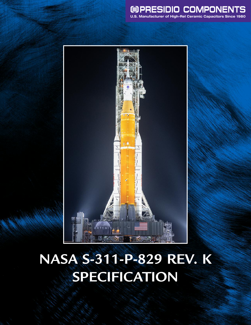



# **NASA S-311-P-829 REV. K SPECIFICATION**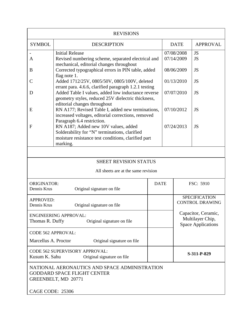| <b>REVISIONS</b>                                                                                           |                                                                                                                                                                                                   |  |             |                                                                                                                        |                 |  |  |
|------------------------------------------------------------------------------------------------------------|---------------------------------------------------------------------------------------------------------------------------------------------------------------------------------------------------|--|-------------|------------------------------------------------------------------------------------------------------------------------|-----------------|--|--|
| <b>SYMBOL</b>                                                                                              | <b>DESCRIPTION</b>                                                                                                                                                                                |  |             | <b>DATE</b>                                                                                                            | <b>APPROVAL</b> |  |  |
| A                                                                                                          | <b>Initial Release</b><br>Revised numbering scheme, separated electrical and<br>mechanical, editorial changes throughout                                                                          |  |             | 07/08/2008<br>07/14/2009                                                                                               | JS<br><b>JS</b> |  |  |
| B                                                                                                          | Corrected typographical errors in PIN table, added<br>flag note 1.                                                                                                                                |  | 08/06/2009  |                                                                                                                        | <b>JS</b>       |  |  |
| C                                                                                                          | Added 1712/25V, 0805/50V, 0805/100V, deleted                                                                                                                                                      |  | 01/13/2010  |                                                                                                                        | <b>JS</b>       |  |  |
| D                                                                                                          | errant para. 4.6.6, clarified paragraph 1.2.1 testing<br>Added Table I values, added low inductance reverse<br>geometry styles, reduced 25V dielectric thickness,<br>editorial changes throughout |  | 07/07/2010  |                                                                                                                        | <b>JS</b>       |  |  |
| E                                                                                                          | RN A177; Revised Table I, added new terminations,<br>increased voltages, editorial corrections, removed<br>Paragraph 6.4 restriction.                                                             |  |             | 07/10/2012                                                                                                             | <b>JS</b>       |  |  |
| $\mathbf{F}$                                                                                               | RN A187; Added new 10V values, added<br>Solderability for "N" terminations, clarified<br>moisture resistance test conditions, clarified part<br>marking.                                          |  |             |                                                                                                                        | <b>JS</b>       |  |  |
|                                                                                                            |                                                                                                                                                                                                   |  |             |                                                                                                                        |                 |  |  |
|                                                                                                            | <b>SHEET REVISION STATUS</b>                                                                                                                                                                      |  |             |                                                                                                                        |                 |  |  |
|                                                                                                            | All sheets are at the same revision                                                                                                                                                               |  |             |                                                                                                                        |                 |  |  |
| <b>ORIGINATOR:</b><br>Dennis Krus                                                                          | Original signature on file                                                                                                                                                                        |  | <b>DATE</b> |                                                                                                                        | FSC: 5910       |  |  |
| <b>APPROVED:</b><br>Dennis Krus<br>Original signature on file                                              |                                                                                                                                                                                                   |  |             | <b>SPECIFICATION</b><br><b>CONTROL DRAWING</b><br>Capacitor, Ceramic,<br>Multilayer Chip,<br><b>Space Applications</b> |                 |  |  |
| <b>ENGINEERING APPROVAL:</b><br>Thomas R. Duffy<br>Original signature on file                              |                                                                                                                                                                                                   |  |             |                                                                                                                        |                 |  |  |
| <b>CODE 562 APPROVAL:</b>                                                                                  |                                                                                                                                                                                                   |  |             |                                                                                                                        |                 |  |  |
| Marcellus A. Proctor<br>Original signature on file                                                         |                                                                                                                                                                                                   |  |             |                                                                                                                        |                 |  |  |
| CODE 562 SUPERVISORY APPROVAL:<br>Kusum K. Sahu                                                            |                                                                                                                                                                                                   |  |             | S-311-P-829                                                                                                            |                 |  |  |
| NATIONAL AERONAUTICS AND SPACE ADMINISTRATION<br><b>GODDARD SPACE FLIGHT CENTER</b><br>GREENBELT, MD 20771 |                                                                                                                                                                                                   |  |             |                                                                                                                        |                 |  |  |
| CAGE CODE: 25306                                                                                           |                                                                                                                                                                                                   |  |             |                                                                                                                        |                 |  |  |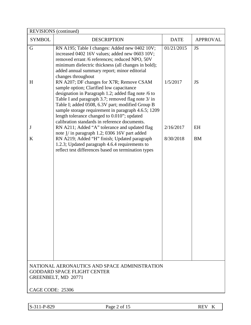| REVISIONS (continued)                                                                                      |                                                                                                                                                                                                                                                                                                                                                                        |                        |                        |  |  |  |
|------------------------------------------------------------------------------------------------------------|------------------------------------------------------------------------------------------------------------------------------------------------------------------------------------------------------------------------------------------------------------------------------------------------------------------------------------------------------------------------|------------------------|------------------------|--|--|--|
| <b>SYMBOL</b>                                                                                              | <b>DESCRIPTION</b>                                                                                                                                                                                                                                                                                                                                                     | <b>DATE</b>            | <b>APPROVAL</b>        |  |  |  |
| G<br>H                                                                                                     | RN A195; Table I changes: Added new 0402 10V;<br>increased 0402 16V values; added new 0603 10V;<br>removed errant /6 references; reduced NPO, 50V<br>minimum dielectric thickness (all changes in bold);<br>added annual summary report; minor editorial<br>changes throughout<br>RN A207; DF changes for X7R; Remove CSAM<br>sample option; Clarified low capacitance | 01/21/2015<br>1/5/2017 | <b>JS</b><br><b>JS</b> |  |  |  |
|                                                                                                            | designation in Paragraph 1.2; added flag note /6 to<br>Table I and paragraph 3.7; removed flag note 3/ in<br>Table I; added 0508, 6.3V part; modified Group B<br>sample storage requirement in paragraph 4.6.5; 1209<br>length tolerance changed to 0.010"; updated<br>calibration standards in reference documents.                                                   |                        |                        |  |  |  |
| J                                                                                                          | RN A211; Added "A" tolerance and updated flag<br>note 1/ in paragraph 1.2; 0306 16V part added                                                                                                                                                                                                                                                                         | 2/16/2017              | EH                     |  |  |  |
| K                                                                                                          | RN A219; Added "H" finish; Updated paragraph<br>1.2.3; Updated paragraph 4.6.4 requirements to<br>reflect test differences based on termination types                                                                                                                                                                                                                  | 8/30/2018              | <b>BM</b>              |  |  |  |
|                                                                                                            |                                                                                                                                                                                                                                                                                                                                                                        |                        |                        |  |  |  |
|                                                                                                            |                                                                                                                                                                                                                                                                                                                                                                        |                        |                        |  |  |  |
| NATIONAL AERONAUTICS AND SPACE ADMINISTRATION<br><b>GODDARD SPACE FLIGHT CENTER</b><br>GREENBELT, MD 20771 |                                                                                                                                                                                                                                                                                                                                                                        |                        |                        |  |  |  |
| CAGE CODE: 25306                                                                                           |                                                                                                                                                                                                                                                                                                                                                                        |                        |                        |  |  |  |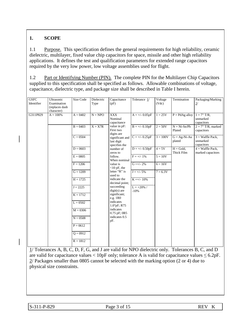## **1. SCOPE**

1.1 Purpose. This specification defines the general requirements for high reliability, ceramic dielectric, multilayer, fixed value chip capacitors for space, missile and other high reliability applications. It defines the test and qualification parameters for extended range capacitors required by the very low power, low voltage assemblies used for flight.

1.2 Part or Identifying Number (PIN). The complete PIN for the Multilayer Chip Capacitors supplied to this specification shall be specified as follows. Allowable combinations of voltage, capacitance, dielectric type, and package size shall be described in Table I herein.

| <b>GSFC</b><br>Identifier | Ultrasonic<br>Examination<br>(replaces dash<br>character) | Size Code  | Dielectric<br>Type | Capacitance<br>(pF)                            | Tolerance $1/$          | Voltage<br>(Vdc) | Termination               | Packaging/Marking<br>2/                        |
|---------------------------|-----------------------------------------------------------|------------|--------------------|------------------------------------------------|-------------------------|------------------|---------------------------|------------------------------------------------|
| G311P829                  | $A = 100%$                                                | $A = 0402$ | $N = NPO$          | <b>XXX</b><br>Nominal<br>capacitance           | $A = +/- 0.05pF$        | $1 = 25V$        | $P = PdAg$ alloy          | $1 = 7''$ T/R,<br>unmarked<br>capacitors       |
|                           |                                                           | $B = 0403$ | $X = X7R$          | value in pF:<br>First two<br>digits are        | $B = +/- 0.10pF$        | $2 = 50V$        | $N = Ni-Sn/Pb$<br>Plated  | $2 = 7$ " T/R, marked<br>capacitors            |
|                           |                                                           | $C = 0504$ |                    | significant and<br>last digit<br>specifies the | $C = +/- 0.25pF$        | $3 = 100V$       | $G = Ag-Ni-Au$<br>plated  | $3$ = Waffle Pack,<br>unmarked<br>capacitors   |
|                           |                                                           | $D = 0603$ |                    | number of<br>zeros to                          | $D = +/- 0.50pF$        | $4 = 5V$         | $H = Gold,$<br>Thick Film | $4 = \text{Waffle Pack.}$<br>marked capacitors |
|                           |                                                           | $E = 0805$ |                    | follow.<br>When nominal                        | $F = +/- 1\%$           | $5 = 10V$        |                           |                                                |
|                           |                                                           | $F = 1206$ |                    | value is<br>$<$ 10 pF, the                     | $G = +/- 2\%$           | $6 = 16V$        |                           |                                                |
|                           |                                                           | $G = 1209$ |                    | letter "R" is<br>used to                       | $J = +/- 5\%$           | $7 = 6.3V$       |                           |                                                |
|                           |                                                           | $H = 1725$ |                    | indicate the<br>decimal point;                 | $K = +/- 10\%$          |                  |                           |                                                |
|                           |                                                           | $J = 2225$ |                    | succeeding<br>$digit(s)$ are                   | $L = +20\%$ /<br>$-10%$ |                  |                           |                                                |
|                           |                                                           | $K = 1712$ |                    | significant;<br>$e.g.$ 1 $R0$                  |                         |                  |                           |                                                |
|                           |                                                           | $L = 0502$ |                    | indicates<br>$1.0^{\circ}$ pF; R75             |                         |                  |                           |                                                |
|                           |                                                           | $M = 0306$ |                    | indicates<br>$0.75$ pF; $0R5$                  |                         |                  |                           |                                                |
|                           |                                                           | $N = 0508$ |                    | indicates 0.5<br>pF.                           |                         |                  |                           |                                                |
|                           |                                                           | $P = 0612$ |                    |                                                |                         |                  |                           |                                                |
|                           |                                                           | $Q = 0912$ |                    |                                                |                         |                  |                           |                                                |
|                           |                                                           | $R = 1812$ |                    |                                                |                         |                  |                           |                                                |

1/ Tolerances A, B, C, D, F, G, and J are valid for NPO dielectric only. Tolerances B, C, and D are valid for capacitance values  $\langle 10pF \text{ only}$ ; tolerance A is valid for capacitance values  $\leq 6.2pF$ . 2/ Packages smaller than 0805 cannot be selected with the marking option (2 or 4) due to physical size constraints.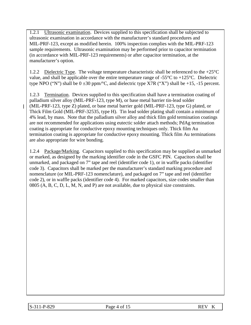1.2.1 Ultrasonic examination. Devices supplied to this specification shall be subjected to ultrasonic examination in accordance with the manufacturer's standard procedures and MIL-PRF-123, except as modified herein. 100% inspection complies with the MIL-PRF-123 sample requirements. Ultrasonic examination may be performed prior to capacitor termination (in accordance with MIL-PRF-123 requirements) or after capacitor termination, at the manufacturer's option.

1.2.2 Dielectric Type. The voltage temperature characteristic shall be referenced to the +25<sup>o</sup>C value, and shall be applicable over the entire temperature range of -55 $\degree$ C to +125 $\degree$ C. Dielectric type NPO ("N") shall be  $0 \pm 30$  ppm/ $\degree$ C, and dielectric type X7R ("X") shall be +15, -15 percent.

1.2.3 Termination. Devices supplied to this specification shall have a termination coating of palladium silver alloy (MIL-PRF-123, type M), or base metal barrier tin-lead solder (MIL-PRF-123, type Z) plated, or base metal barrier gold (MIL-PRF-123, type G) plated, or Thick Film Gold (MIL-PRF-32535, type H). Tin lead solder plating shall contain a minimum of 4% lead, by mass. Note that the palladium silver alloy and thick film gold termination coatings are not recommended for applications using eutectic solder attach methods; PdAg termination coating is appropriate for conductive epoxy mounting techniques only. Thick film Au termination coating is appropriate for conductive epoxy mounting. Thick film Au terminations are also appropriate for wire bonding.

1.2.4 Package/Marking. Capacitors supplied to this specification may be supplied as unmarked or marked, as designed by the marking identifier code in the GSFC PIN. Capacitors shall be unmarked, and packaged on 7" tape and reel (identifier code 1), or in waffle packs (identifier code 3). Capacitors shall be marked per the manufacturer's standard marking procedure and nomenclature (or MIL-PRF-123 nomenclature), and packaged on 7" tape and reel (identifier code 2), or in waffle packs (identifier code 4). For marked capacitors, size codes smaller than 0805 (A, B, C, D, L, M, N, and P) are not available, due to physical size constraints.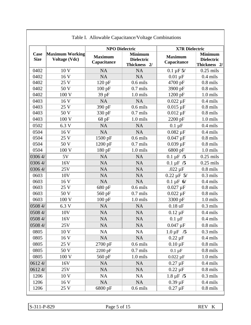|                     | Table I. Allowable Capacitance/Voltage Combinations |                               |                                                     |                               |                                                     |  |  |
|---------------------|-----------------------------------------------------|-------------------------------|-----------------------------------------------------|-------------------------------|-----------------------------------------------------|--|--|
|                     |                                                     | <b>NPO Dielectric</b>         |                                                     | <b>X7R Dielectric</b>         |                                                     |  |  |
| Case<br><b>Size</b> | Maximum Working<br><b>Voltage (Vdc)</b>             | <b>Maximum</b><br>Capacitance | <b>Minimum</b><br><b>Dielectric</b><br>Thickness 2/ | <b>Maximum</b><br>Capacitance | <b>Minimum</b><br><b>Dielectric</b><br>Thickness 2/ |  |  |
| 0402                | 10 V                                                | <b>NA</b>                     | <b>NA</b>                                           | $0.1 \mu F 5/$                | $0.25$ mils                                         |  |  |
| 0402                | 16 V                                                | <b>NA</b>                     | <b>NA</b>                                           | $0.01 \mu F$                  | $0.4$ mils                                          |  |  |
| 0402                | 25 V                                                | 120 pF                        | $0.6$ mils                                          | 4700 pF                       | $0.8$ mils                                          |  |  |
| 0402                | 50 V                                                | $100$ pF                      | $0.7$ mils                                          | 3900 pF                       | $0.8$ mils                                          |  |  |
| 0402                | 100 V                                               | 39 pF                         | 1.0 mils                                            | 1200 pF                       | 1.0 mils                                            |  |  |
| 0403                | 16 V                                                | NA                            | <b>NA</b>                                           | $0.022 \mu F$                 | $0.4$ mils                                          |  |  |
| 0403                | 25 V                                                | 390 pF                        | $0.6$ mils                                          | $0.015 \,\mu F$               | $0.8$ mils                                          |  |  |
| 0403                | 50 V                                                | 330 pF                        | $0.7$ mils                                          | $0.012 \,\mu F$               | $0.8$ mils                                          |  |  |
| 0403                | 100 V                                               | 68 pF                         | 1.0 mils                                            | 2200 pF                       | 1.0 mils                                            |  |  |
| 0502                | 6.3 V                                               | <b>NA</b>                     | <b>NA</b>                                           | $0.1 \mu F$                   | $0.4$ mils                                          |  |  |
| 0504                | 16 V                                                | NA                            | <b>NA</b>                                           | $0.082 \,\mu F$               | $0.4$ mils                                          |  |  |
| 0504                | 25 V                                                | 1500 pF                       | $0.6$ mils                                          | $0.047 \mu F$                 | $0.8$ mils                                          |  |  |
| 0504                | 50 V                                                | 1200 pF                       | $0.7$ mils                                          | $0.039 \,\mu F$               | $0.8$ mils                                          |  |  |
| 0504                | 100 V                                               | 180 pF                        | 1.0 mils                                            | 6800 pF                       | 1.0 mils                                            |  |  |
| 03064/              | 5V                                                  | NA                            | <b>NA</b>                                           | $0.1 \mu F / 5$               | $0.25$ mils                                         |  |  |
| 0306 4/             | 16V                                                 | <b>NA</b>                     | <b>NA</b>                                           | $0.1 \,\mu F / 5$             | $0.25$ mils                                         |  |  |
| 0306 4/             | 25V                                                 | <b>NA</b>                     | <b>NA</b>                                           | $.022 \mu F$                  | $0.8$ mils                                          |  |  |
| 0603                | 10V                                                 | <b>NA</b>                     | <b>NA</b>                                           | $0.22 \mu F$ 5/               | $0.3$ mils                                          |  |  |
| 0603                | 16 V                                                | <b>NA</b>                     | <b>NA</b>                                           | $0.1 \,\mu F \, 6/$           | $0.4$ mils                                          |  |  |
| 0603                | 25 V                                                | 680 pF                        | $0.6$ mils                                          | $0.027 \,\mu F$               | $0.8$ mils                                          |  |  |
| 0603                | 50 V                                                | 560 pF                        | $0.7$ mils                                          | $0.022 \,\mu F$               | $0.8$ mils                                          |  |  |
| 0603                | 100 V                                               | 100 pF                        | 1.0 mils                                            | 3300 pF                       | 1.0 mils                                            |  |  |
| 0508 4/             | 6.3 V                                               | <b>NA</b>                     | <b>NA</b>                                           | $0.18$ uF                     | $0.3$ mils                                          |  |  |
| 0508 4/             | 10V                                                 | <b>NA</b>                     | <b>NA</b>                                           | $0.12 \mu F$                  | $0.4$ mils                                          |  |  |
| 0508 4/             | 16V                                                 | <b>NA</b>                     | <b>NA</b>                                           | $0.1 \mu F$                   | $0.4$ mils                                          |  |  |
| 0508 4/             | 25V                                                 | <b>NA</b>                     | <b>NA</b>                                           | $0.047 \,\mu F$               | $0.8$ mils                                          |  |  |
| 0805                | 10 V                                                | NA                            | <b>NA</b>                                           | $1.0 \,\mu F$ /5              | $0.3$ mils                                          |  |  |
| 0805                | 16 V                                                | <b>NA</b>                     | NA                                                  | $0.22 \mu F$                  | $0.4$ mils                                          |  |  |
| 0805                | 25 V                                                | 2700 pF                       | $0.6$ mils                                          | $0.10 \,\mathrm{\upmu F}$     | $0.8$ mils                                          |  |  |
| 0805                | 50 V                                                | 2200 pF                       | $0.7$ mils                                          | $0.1 \mu F$                   | $0.8$ mils                                          |  |  |
| 0805                | 100 V                                               | 560 pF                        | 1.0 mils                                            | $0.022 \mu F$                 | 1.0 mils                                            |  |  |
| 06124/              | 16V                                                 | <b>NA</b>                     | <b>NA</b>                                           | $0.27 \mu F$                  | $0.4$ mils                                          |  |  |
| 06124/              | 25V                                                 | <b>NA</b>                     | <b>NA</b>                                           | $0.22 \mu F$                  | $0.8$ mils                                          |  |  |
| 1206                | 10 V                                                | NA                            | <b>NA</b>                                           | $1.8 \,\mu F$ /5              | $0.3$ mils                                          |  |  |
| 1206                | 16 V                                                | <b>NA</b>                     | <b>NA</b>                                           | $0.39 \,\mathrm{\upmu F}$     | $0.4$ mils                                          |  |  |
| 1206                | 25 V                                                | 6800 pF                       | $0.6$ mils                                          | $0.27 \mu F$                  | $0.8$ mils                                          |  |  |

|  |  |  |  | Table I. Allowable Capacitance/Voltage Combinations |
|--|--|--|--|-----------------------------------------------------|
|--|--|--|--|-----------------------------------------------------|

S-311-P-829 Page 5 of 15 REV K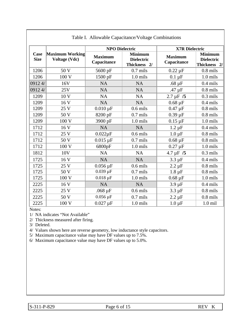|                            |                                         | <b>NPO Dielectric</b>         |                                                     | <b>X7R Dielectric</b>         |                                                     |  |
|----------------------------|-----------------------------------------|-------------------------------|-----------------------------------------------------|-------------------------------|-----------------------------------------------------|--|
| <b>Case</b><br><b>Size</b> | Maximum Working<br><b>Voltage (Vdc)</b> | <b>Maximum</b><br>Capacitance | <b>Minimum</b><br><b>Dielectric</b><br>Thickness 2/ | <b>Maximum</b><br>Capacitance | <b>Minimum</b><br><b>Dielectric</b><br>Thickness 2/ |  |
| 1206                       | 50 V                                    | 5600 pF                       | $0.7$ mils                                          | $0.22 \mu F$                  | $0.8$ mils                                          |  |
| 1206                       | 100 V                                   | 1500 pF                       | $1.0$ mils                                          | $0.1 \mu F$                   | 1.0 mils                                            |  |
| 09124/                     | 16V                                     | <b>NA</b>                     | <b>NA</b>                                           | $.68 \mu F$                   | $0.4$ mils                                          |  |
| 09124/                     | 25V                                     | <b>NA</b>                     | <b>NA</b>                                           | .47 $\mu$ F                   | $0.8$ mils                                          |  |
| 1209                       | 10 V                                    | <b>NA</b>                     | NA                                                  | $2.7 \mu F / 5$               | $0.3$ mils                                          |  |
| 1209                       | 16 V                                    | <b>NA</b>                     | <b>NA</b>                                           | $0.68 \mu F$                  | $0.4$ mils                                          |  |
| 1209                       | 25 V                                    | $0.010 \,\mu F$               | $0.6$ mils                                          | $0.47 \mu F$                  | $0.8$ mils                                          |  |
| 1209                       | 50 V                                    | 8200 pF                       | $0.7$ mils                                          | $0.39 \mu F$                  | $0.8$ mils                                          |  |
| 1209                       | 100 V                                   | 3900 pF                       | $1.0$ mils                                          | $0.15 \mu F$                  | 1.0 mils                                            |  |
| 1712                       | 16 V                                    | <b>NA</b>                     | <b>NA</b>                                           | $1.2 \mu F$                   | $0.4$ mils                                          |  |
| 1712                       | 25 V                                    | $0.022\mu F$                  | $0.6$ mils                                          | $1.0 \mu F$                   | $0.8$ mils                                          |  |
| 1712                       | 50 V                                    | $0.015 \,\mu F$               | $0.7$ mils                                          | $0.68 \,\mathrm{\upmu F}$     | $0.8$ mils                                          |  |
| 1712                       | 100 V                                   | 6800pF                        | 1.0 mils                                            | $0.27 \mu F$                  | 1.0 mils                                            |  |
| 1812                       | 10 <sub>V</sub>                         | <b>NA</b>                     | <b>NA</b>                                           | $4.7 \,\mu F$ /5              | $0.3$ mils                                          |  |
| 1725                       | 16 V                                    | <b>NA</b>                     | <b>NA</b>                                           | $3.3 \mu F$                   | $0.4$ mils                                          |  |
| 1725                       | 25 V                                    | $0.056 \,\mu F$               | $0.6$ mils                                          | $2.2 \mu F$                   | $0.8$ mils                                          |  |
| 1725                       | 50 V                                    | $0.039 \,\mu F$               | $0.7$ mils                                          | $1.8 \mu F$                   | $0.8$ mils                                          |  |
| 1725                       | 100 V                                   | $0.018 \mu F$                 | 1.0 mils                                            | $0.68 \,\mathrm{\upmu F}$     | $1.0$ mils                                          |  |
| 2225                       | 16 V                                    | <b>NA</b>                     | <b>NA</b>                                           | $3.9 \mu F$                   | $0.4$ mils                                          |  |
| 2225                       | 25 V                                    | $.068 \mu F$                  | $0.6$ mils                                          | $3.3 \mu F$                   | $0.8$ mils                                          |  |
| 2225                       | 50 V                                    | $0.056 \,\mathrm{\upmu F}$    | $0.7$ mils                                          | $2.2 \mu F$                   | $0.8$ mils                                          |  |
| 2225                       | 100 V                                   | $0.027 \mu F$                 | 1.0 mils                                            | $1.0 \mu F$                   | $1.0$ mil                                           |  |

#### Table I. Allowable Capacitance/Voltage Combinations

Notes:

1/ NA indicates "Not Available"

2/ Thickness measured after firing.

3/ Deleted.

4/ Values shown here are reverse geometry, low inductance style capacitors.

5/ Maximum capacitance value may have DF values up to 7.5%.

6/ Maximum capacitance value may have DF values up to 5.0%.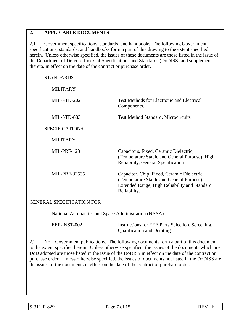## **2. APPLICABLE DOCUMENTS**

2.1 Government specifications, standards, and handbooks. The following Government specifications, standards, and handbooks form a part of this drawing to the extent specified herein. Unless otherwise specified, the issues of these documents are those listed in the issue of the Department of Defense Index of Specifications and Standards (DoDISS) and supplement thereto, in effect on the date of the contract or purchase order**.**

| <b>STANDARDS</b>      |                                                                                                                                                          |
|-----------------------|----------------------------------------------------------------------------------------------------------------------------------------------------------|
| <b>MILITARY</b>       |                                                                                                                                                          |
| MIL-STD-202           | <b>Test Methods for Electronic and Electrical</b><br>Components.                                                                                         |
| MIL-STD-883           | <b>Test Method Standard, Microcircuits</b>                                                                                                               |
| <b>SPECIFICATIONS</b> |                                                                                                                                                          |
| <b>MILITARY</b>       |                                                                                                                                                          |
| MIL-PRF-123           | Capacitors, Fixed, Ceramic Dielectric,<br>(Temperature Stable and General Purpose), High<br>Reliability, General Specification                           |
| MIL-PRF-32535         | Capacitor, Chip, Fixed, Ceramic Dielectric<br>(Temperature Stable and General Purpose),<br>Extended Range, High Reliability and Standard<br>Reliability. |
|                       |                                                                                                                                                          |

#### GENERAL SPECIFICATION FOR

National Aeronautics and Space Administration (NASA)

| EEE-INST-002 | Instructions for EEE Parts Selection, Screening, |
|--------------|--------------------------------------------------|
|              | <b>Qualification and Derating</b>                |

2.2 Non–Government publications. The following documents form a part of this document to the extent specified herein. Unless otherwise specified, the issues of the documents which are DoD adopted are those listed in the issue of the DoDISS in effect on the date of the contract or purchase order. Unless otherwise specified, the issues of documents not listed in the DoDISS are the issues of the documents in effect on the date of the contract or purchase order.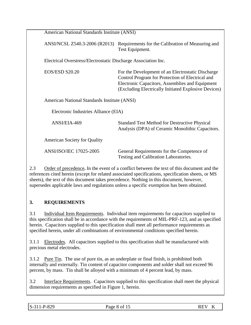| American National Standards Institute (ANSI)                   |                                                                                                                                                                                                                  |
|----------------------------------------------------------------|------------------------------------------------------------------------------------------------------------------------------------------------------------------------------------------------------------------|
| ANSI/NCSL Z540.3-2006 (R2013)                                  | Requirements for the Calibration of Measuring and<br>Test Equipment.                                                                                                                                             |
| Electrical Overstress/Electrostatic Discharge Association Inc. |                                                                                                                                                                                                                  |
| <b>EOS/ESD S20.20</b>                                          | For the Development of an Electrostatic Discharge<br>Control Program for Protection of Electrical and<br>Electronic Capacitors, Assemblies and Equipment<br>(Excluding Electrically Initiated Explosive Devices) |
| American National Standards Institute (ANSI)                   |                                                                                                                                                                                                                  |
| Electronic Industries Alliance (EIA)                           |                                                                                                                                                                                                                  |
| ANSI/EIA-469                                                   | <b>Standard Test Method for Destructive Physical</b><br>Analysis (DPA) of Ceramic Monolithic Capacitors.                                                                                                         |
| <b>American Society for Quality</b>                            |                                                                                                                                                                                                                  |
| <b>ANSI/ISO/IEC 17025-2005</b>                                 | General Requirements for the Competence of<br>Testing and Calibration Laboratories.                                                                                                                              |

2.3 Order of precedence**.** In the event of a conflict between the text of this document and the references cited herein (except for related associated specifications, specification sheets, or MS sheets), the text of this document takes precedence. Nothing in this document, however, supersedes applicable laws and regulations unless a specific exemption has been obtained.

## **3. REQUIREMENTS**

3.1 Individual Item Requirements. Individual item requirements for capacitors supplied to this specification shall be in accordance with the requirements of MIL-PRF-123, and as specified herein. Capacitors supplied to this specification shall meet all performance requirements as specified herein, under all combinations of environmental conditions specified herein.

3.1.1 Electrodes. All capacitors supplied to this specification shall be manufactured with precious metal electrodes.

3.1.2 Pure Tin. The use of pure tin, as an underplate or final finish, is prohibited both internally and externally. Tin content of capacitor components and solder shall not exceed 96 percent, by mass. Tin shall be alloyed with a minimum of 4 percent lead, by mass.

3.2 Interface Requirements. Capacitors supplied to this specification shall meet the physical dimension requirements as specified in Figure 1, herein.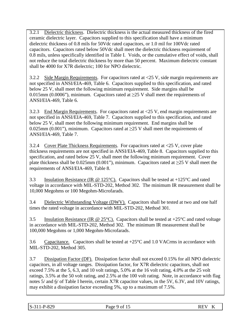3.2.1 Dielectric thickness. Dielectric thickness is the actual measured thickness of the fired ceramic dielectric layer. Capacitors supplied to this specification shall have a minimum dielectric thickness of 0.8 mils for 50Vdc rated capacitors, or 1.0 mil for 100Vdc rated capacitors. Capacitors rated below 50Vdc shall meet the dielectric thickness requirement of 0.8 mils, unless specifically identified in Table I. Voids, or the cumulative effect of voids, shall not reduce the total dielectric thickness by more than 50 percent. Maximum dielectric constant shall be 4000 for X7R dielectric; 100 for NPO dielectric.

3.2.2 Side Margin Requirements. For capacitors rated at <25 V, side margin requirements are not specified in ANSI/EIA-469, Table 6. Capacitors supplied to this specification, and rated below 25 V, shall meet the following minimum requirement. Side margins shall be 0.015mm (0.0006"), minimum. Capacitors rated at  $\geq$ 25 V shall meet the requirements of ANSI/EIA-469, Table 6.

3.2.3 End Margin Requirements. For capacitors rated at <25 V, end margin requirements are not specified in ANSI/EIA-469, Table 7. Capacitors supplied to this specification, and rated below 25 V, shall meet the following minimum requirement. End margins shall be 0.025mm (0.001"), minimum. Capacitors rated at  $\geq$ 25 V shall meet the requirements of ANSI/EIA-469, Table 7.

3.2.4 Cover Plate Thickness Requirements. For capacitors rated at <25 V, cover plate thickness requirements are not specified in ANSI/EIA-469, Table 8. Capacitors supplied to this specification, and rated below 25 V, shall meet the following minimum requirement. Cover plate thickness shall be 0.025mm (0.001"), minimum. Capacitors rated at  $\geq$ 25 V shall meet the requirements of ANSI/EIA-469, Table 8.

3.3 Insulation Resistance (IR @ 125°C). Capacitors shall be tested at +125°C and rated voltage in accordance with MIL-STD-202, Method 302. The minimum IR measurement shall be 10,000 Megohms or 100 Megohm-Microfarads.

3.4 Dielectric Withstanding Voltage (DWV). Capacitors shall be tested at two and one half times the rated voltage in accordance with MIL-STD-202, Method 301.

3.5 Insulation Resistance (IR  $\omega$  25°C). Capacitors shall be tested at +25°C and rated voltage in accordance with MIL-STD-202, Method 302. The minimum IR measurement shall be 100,000 Megohms or 1,000 Megohm-Microfarads.

3.6 Capacitance. Capacitors shall be tested at  $+25^{\circ}$ C and 1.0 VACrms in accordance with MIL-STD-202, Method 305.

3.7 Dissipation Factor (DF). Dissipation factor shall not exceed 0.15% for all NPO dielectric capacitors, in all voltage ranges. Dissipation factor, for X7R dielectric capacitors, shall not exceed 7.5% at the 5, 6.3, and 10 volt ratings, 5.0% at the 16 volt rating, 4.0% at the 25 volt ratings, 3.5% at the 50 volt rating, and 2.5% at the 100 volt rating. Note, in accordance with flag notes  $5/$  and  $6/$  of Table I herein, certain X7R capacitor values, in the  $5V$ ,  $6.3V$ , and  $10V$  ratings, may exhibit a dissipation factor exceeding 5%, up to a maximum of 7.5%.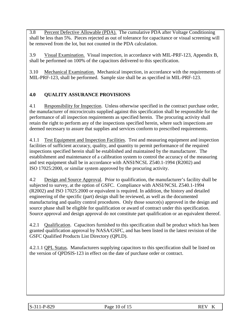3.8 Percent Defective Allowable (PDA). The cumulative PDA after Voltage Conditioning shall be less than 5%. Pieces rejected as out of tolerance for capacitance or visual screening will be removed from the lot, but not counted in the PDA calculation.

3.9 Visual Examination. Visual inspection, in accordance with MIL-PRF-123, Appendix B, shall be performed on 100% of the capacitors delivered to this specification.

3.10 Mechanical Examination.Mechanical inspection, in accordance with the requirements of MIL-PRF-123, shall be performed. Sample size shall be as specified in MIL-PRF-123.

# **4.0 QUALITY ASSURANCE PROVISIONS**

4.1 Responsibility for Inspection. Unless otherwise specified in the contract purchase order, the manufacturer of microcircuits supplied against this specification shall be responsible for the performance of all inspection requirements as specified herein. The procuring activity shall retain the right to perform any of the inspections specified herein, where such inspections are deemed necessary to assure that supplies and services conform to prescribed requirements.

4.1.1 Test Equipment and Inspection Facilities. Test and measuring equipment and inspection facilities of sufficient accuracy, quality, and quantity to permit performance of the required inspections specified herein shall be established and maintained by the manufacturer. The establishment and maintenance of a calibration system to control the accuracy of the measuring and test equipment shall be in accordance with ANSI/NCSL Z540.1-1994 (R2002) and ISO 17025:2000, or similar system approved by the procuring activity.

4.2 Design and Source Approval. Prior to qualification, the manufacturer's facility shall be subjected to survey, at the option of GSFC. Compliance with ANSI/NCSL Z540.1-1994 (R2002) and ISO 17025:2000 or equivalent is required. In addition, the history and detailed engineering of the specific (part) design shall be reviewed, as well as the documented manufacturing and quality control procedures. Only those source(s) approved in the design and source phase shall be eligible for qualification or award of contract under this specification. Source approval and design approval do not constitute part qualification or an equivalent thereof.

4.2.1 Qualification. Capacitors furnished to this specification shall be product which has been granted qualification approval by NASA/GSFC, and has been listed in the latest revision of the GSFC Qualified Products List Directory (QPLD).

4.2.1.1 QPL Status. Manufacturers supplying capacitors to this specification shall be listed on the version of QPDSIS-123 in effect on the date of purchase order or contract.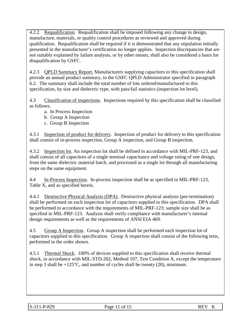4.2.2 Requalification. Requalification shall be imposed following any change in design, manufacture, materials, or quality control procedures as reviewed and approved during qualification. Requalification shall be required if it is demonstrated that any stipulation initially presented in the manufacturer's certification no longer applies. Inspection discrepancies that are not suitably explained by failure analysis, or by other means, shall also be considered a basis for disqualification by GSFC.

4.2.3 QPLD Summary Report. Manufacturers supplying capacitors to this specification shall provide an annual product summary, to the GSFC QPLD Administrator specified in paragraph 6.2. The summary shall include the total number of lots ordered/manufactured to this specification, by size and dielectric type, with pass/fail statistics (inspection lot level).

4.3 Classification of inspections. Inspections required by this specification shall be classified as follows.

- a. In Process Inspection
- b. Group A Inspection
- c. Group B Inspection

4.3.1 Inspection of product for delivery. Inspection of product for delivery to this specification shall consist of in-process inspection, Group A inspection, and Group B inspection.

4.3.2 Inspection lot. An inspection lot shall be defined in accordance with MIL-PRF-123, and shall consist of all capacitors of a single nominal capacitance and voltage rating of one design, from the same dielectric material batch, and processed as a single lot through all manufacturing steps on the same equipment.

4.4 In-Process Inspection. In-process inspection shall be as specified in MIL-PRF-123, Table X, and as specified herein.

4.4.1 Destructive Physical Analysis (DPA). Destructive physical analysis (pre-termination) shall be performed on each inspection lot of capacitors supplied to this specification. DPA shall be performed in accordance with the requirements of MIL-PRF-123; sample size shall be as specified in MIL-PRF-123. Analysis shall verify compliance with manufacturer's internal design requirements as well as the requirements of ANSI EIA 469.

4.5 Group A Inspection. Group A inspection shall be performed each inspection lot of capacitors supplied to this specification. Group A inspection shall consist of the following tests, performed in the order shown.

4.5.1 Thermal Shock. 100% of devices supplied to this specification shall receive thermal shock, in accordance with MIL-STD-202, Method 107, Test Condition A, except the temperature in step 3 shall be  $+125^{\circ}$ C, and number of cycles shall be twenty (20), minimum.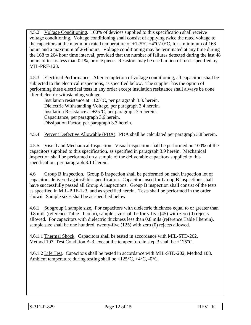4.5.2 Voltage Conditioning. 100% of devices supplied to this specification shall receive voltage conditioning. Voltage conditioning shall consist of applying twice the rated voltage to the capacitors at the maximum rated temperature of  $+125^{\circ}C + 4^{\circ}C/-0^{\circ}C$ , for a minimum of 168 hours and a maximum of 264 hours. Voltage conditioning may be terminated at any time during the 168 to 264 hour time interval, provided that the number of failures detected during the last 48 hours of test is less than 0.1%, or one piece. Resistors may be used in lieu of fuses specified by MIL-PRF-123.

4.5.3 Electrical Performance. After completion of voltage conditioning, all capacitors shall be subjected to the electrical inspections, as specified below. The supplier has the option of performing these electrical tests in any order except insulation resistance shall always be done after dielectric withstanding voltage.

Insulation resistance at  $+125^{\circ}$ C, per paragraph 3.3. herein. Dielectric Withstanding Voltage, per paragraph 3.4 herein. Insulation Resistance at  $+25^{\circ}$ C, per paragraph 3.5 herein. Capacitance, per paragraph 3.6 herein. Dissipation Factor, per paragraph 3.7 herein.

4.5.4 Percent Defective Allowable (PDA). PDA shall be calculated per paragraph 3.8 herein.

4.5.5 Visual and Mechanical Inspection. Visual inspection shall be performed on 100% of the capacitors supplied to this specification, as specified in paragraph 3.9 herein. Mechanical inspection shall be performed on a sample of the deliverable capacitors supplied to this specification, per paragraph 3.10 herein.

4.6 Group B Inspection. Group B inspection shall be performed on each inspection lot of capacitors delivered against this specification. Capacitors used for Group B inspections shall have successfully passed all Group A inspections. Group B inspection shall consist of the tests as specified in MIL-PRF-123, and as specified herein. Tests shall be performed in the order shown. Sample sizes shall be as specified below.

4.6.1 Subgroup 1 sample size. For capacitors with dielectric thickness equal to or greater than 0.8 mils (reference Table I herein), sample size shall be forty-five (45) with zero (0) rejects allowed. For capacitors with dielectric thickness less than 0.8 mils (reference Table I herein), sample size shall be one hundred, twenty-five (125) with zero (0) rejects allowed.

4.6.1.1 Thermal Shock. Capacitors shall be tested in accordance with MIL-STD-202, Method 107, Test Condition A-3, except the temperature in step 3 shall be  $+125^{\circ}$ C.

4.6.1.2 Life Test. Capacitors shall be tested in accordance with MIL-STD-202, Method 108. Ambient temperature during testing shall be  $+125^{\circ}C$ ,  $+4^{\circ}C$ ,  $-0^{\circ}C$ .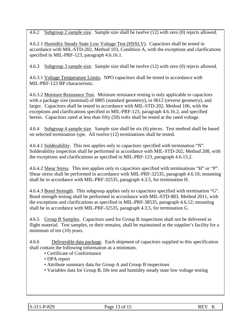4.6.2 Subgroup 2 sample size. Sample size shall be twelve (12) with zero (0) rejects allowed.

4.6.2.1 Humidity Steady State Low Voltage Test (HSSLV). Capacitors shall be tested in accordance with MIL-STD-202, Method 103, Condition A, with the exceptions and clarifications specified in MIL-PRF-123, paragraph 4.6.16.1.

4.6.3 Subgroup 3 sample size. Sample size shall be twelve (12) with zero (0) rejects allowed.

4.6.3.1 Voltage Temperature Limits. NPO capacitors shall be tested in accordance with MIL-PRF-123 BP characteristic.

4.6.3.2 Moisture Resistance Test. Moisture resistance testing is only applicable to capacitors with a package size (nominal) of 0805 (standard geometry), or 0612 (reverse geometry), and larger. Capacitors shall be tested in accordance with MIL-STD-202, Method 106, with the exceptions and clarifications specified in MIL-PRF-123, paragraph 4.6.16.2, and specified herein. Capacitors rated at less than fifty (50) volts shall be tested at the rated voltage.

4.6.4 Subgroup 4 sample size. Sample size shall be six (6) pieces. Test method shall be based on selected termination type. All twelve (12) terminations shall be tested.

4.6.4.1 Solderability. This test applies only to capacitors specified with termination "N". Solderability inspection shall be performed in accordance with MIL-STD-202, Method 208, with the exceptions and clarifications as specified in MIL-PRF-123, paragraph 4.6.13.2.

4.6.4.2 Shear Stress. This test applies only to capacitors specified with terminations "H" or "P". Shear stress shall be performed in accordance with MIL-PRF-32535, paragraph 4.6.10; mounting shall be in accordance with MIL-PRF-32535, paragraph 4.3.5, for termination H.

4.6.4.3 Bond Strength. This subgroup applies only to capacitors specified with termination "G". Bond strength testing shall be performed in accordance with MIL-STD-883, Method 2011, with the exceptions and clarifications as specified in MIL-PRF-38535, paragraph 4.6.12; mounting shall be in accordance with MIL-PRF-32535, paragraph 4.3.5, for termination G.

4.6.5 Group B Samples. Capacitors used for Group B inspections shall not be delivered as flight material. Test samples, or their remains, shall be maintained at the supplier's facility for a minimum of ten (10) years.

4.6.6 Deliverable data package. Each shipment of capacitors supplied to this specification shall contain the following information as a minimum.

- Certificate of Conformance
- DPA report
- Attribute summary data for Group A and Group B inspections
- Variables data for Group B, life test and humidity steady state low voltage testing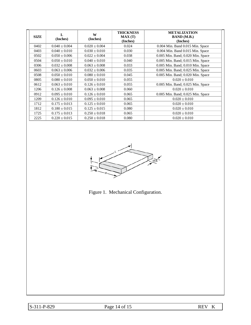| <b>SIZE</b> | L<br>(Inches)     | W<br>(Inches)     | <b>THICKNESS</b><br>MAX(T)<br>(Inches) | <b>METALIZATION</b><br><b>BAND</b> (M.B.)<br>(Inches) |
|-------------|-------------------|-------------------|----------------------------------------|-------------------------------------------------------|
| 0402        | $0.040 \pm 0.004$ | $0.020 \pm 0.004$ | 0.024                                  | 0.004 Min. Band 0.015 Min. Space                      |
| 0403        | $0.040 \pm 0.010$ | $0.030 \pm 0.010$ | 0.030                                  | 0.004 Min. Band 0.015 Min. Space                      |
| 0502        | $0.050 \pm 0.006$ | $0.022 \pm 0.004$ | 0.038                                  | 0.005 Min. Band; 0.020 Min. Space                     |
| 0504        | $0.050 \pm 0.010$ | $0.040 \pm 0.010$ | 0.040                                  | 0.005 Min. Band; 0.015 Min. Space                     |
| 0306        | $0.032 \pm 0.008$ | $0.063 \pm 0.008$ | 0.033                                  | 0.005 Min. Band; 0.010 Min. Space                     |
| 0603        | $0.063 \pm 0.006$ | $0.032 \pm 0.006$ | 0.035                                  | 0.005 Min. Band; 0.025 Min. Space                     |
| 0508        | $0.050 \pm 0.010$ | $0.080 \pm 0.010$ | 0.045                                  | 0.005 Min. Band; 0.020 Min. Space                     |
| 0805        | $0.080 \pm 0.010$ | $0.050 \pm 0.010$ | 0.055                                  | $0.020 \pm 0.010$                                     |
| 0612        | $0.063 \pm 0.010$ | $0.126 \pm 0.010$ | 0.055                                  | 0.005 Min. Band; 0.025 Min. Space                     |
| 1206        | $0.126 \pm 0.008$ | $0.063 \pm 0.008$ | 0.060                                  | $0.020 \pm 0.010$                                     |
| 0912        | $0.095 \pm 0.010$ | $0.126 \pm 0.010$ | 0.065                                  | 0.005 Min. Band; 0.025 Min. Space                     |
| 1209        | $0.126 \pm 0.010$ | $0.095 \pm 0.010$ | 0.065                                  | $0.020 \pm 0.010$                                     |
| 1712        | $0.175 \pm 0.013$ | $0.125 \pm 0.010$ | 0.065                                  | $0.020 \pm 0.010$                                     |
| 1812        | $0.180 \pm 0.015$ | $0.125 \pm 0.015$ | 0.080                                  | $0.020 \pm 0.010$                                     |
| 1725        | $0.175 \pm 0.013$ | $0.250 \pm 0.018$ | 0.065                                  | $0.020 \pm 0.010$                                     |
| 2225        | $0.220 \pm 0.015$ | $0.250 \pm 0.018$ | 0.080                                  | $0.020 \pm 0.010$                                     |



Figure 1. Mechanical Configuration.